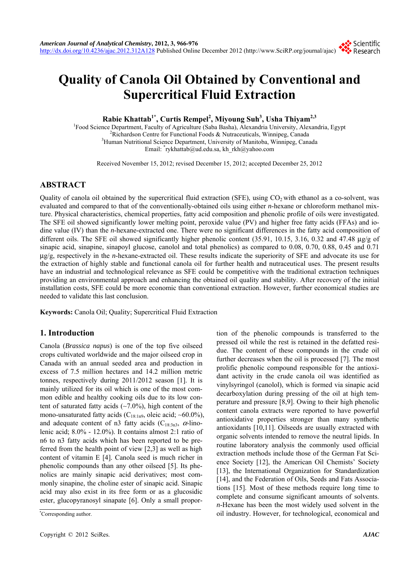# **Quality of Canola Oil Obtained by Conventional and Supercritical Fluid Extraction**

**Rabie Khattab1\*, Curtis Rempel2 , Miyoung Suh3 , Usha Thiyam2,3**

<sup>1</sup>Food Science Department, Faculty of Agriculture (Saba Basha), Alexandria University, Alexandria, Egypt <sup>2</sup>Pichardson Contra for Eunstinal Egods & Nutregauticals Winnipeg Consde <sup>2</sup>Richardson Centre for Functional Foods  $\&$  Nutraceuticals, Winnipeg, Canada <sup>3</sup>Human Nutritional Science Department, University of Manitoba, Winnipeg, Canada Email: \* rykhattab@ud.edu.sa, kh\_rkh@yahoo.com

Received November 15, 2012; revised December 15, 2012; accepted December 25, 2012

# **ABSTRACT**

Quality of canola oil obtained by the supercritical fluid extraction (SFE), using  $CO<sub>2</sub>$  with ethanol as a co-solvent, was evaluated and compared to that of the conventionally-obtained oils using either *n*-hexane or chloroform methanol mixture. Physical characteristics, chemical properties, fatty acid composition and phenolic profile of oils were investigated. The SFE oil showed significantly lower melting point, peroxide value (PV) and higher free fatty acids (FFAs) and iodine value (IV) than the *n*-hexane-extracted one. There were no significant differences in the fatty acid composition of different oils. The SFE oil showed significantly higher phenolic content (35.91, 10.15, 3.16, 0.32 and 47.48 μg/g of sinapic acid, sinapine, sinapoyl glucose, canolol and total phenolics) as compared to 0.08, 0.70, 0.88, 0.45 and 0.71 μg/g, respectively in the *n*-hexane-extracted oil. These results indicate the superiority of SFE and advocate its use for the extraction of highly stable and functional canola oil for further health and nutraceutical uses. The present results have an industrial and technological relevance as SFE could be competitive with the traditional extraction techniques providing an environmental approach and enhancing the obtained oil quality and stability. After recovery of the initial installation costs, SFE could be more economic than conventional extraction. However, further economical studies are needed to validate this last conclusion.

**Keywords:** Canola Oil; Quality; Supercritical Fluid Extraction

# **1. Introduction**

Canola (*Brassica napus*) is one of the top five oilseed crops cultivated worldwide and the major oilseed crop in Canada with an annual seeded area and production in excess of 7.5 million hectares and 14.2 million metric tonnes, respectively during 2011/2012 season [1]. It is mainly utilized for its oil which is one of the most common edible and healthy cooking oils due to its low content of saturated fatty acids (∼7.0%), high content of the mono-unsaturated fatty acids (C18:1n9, oleic acid; ∼60.0%), and adequate content of n3 fatty acids ( $C_{18:3n3}$ ,  $\alpha$ -linolenic acid; 8.0% - 12.0%). It contains almost 2:1 ratio of n6 to n3 fatty acids which has been reported to be preferred from the health point of view [2,3] as well as high content of vitamin E [4]. Canola seed is much richer in phenolic compounds than any other oilseed [5]. Its phenolics are mainly sinapic acid derivatives; most commonly sinapine, the choline ester of sinapic acid. Sinapic acid may also exist in its free form or as a glucosidic ester, glucopyranosyl sinapate [6]. Only a small proportion of the phenolic compounds is transferred to the pressed oil while the rest is retained in the defatted residue. The content of these compounds in the crude oil further decreases when the oil is processed [7]. The most prolific phenolic compound responsible for the antioxidant activity in the crude canola oil was identified as vinylsyringol (canolol), which is formed via sinapic acid decarboxylation during pressing of the oil at high temperature and pressure [8,9]. Owing to their high phenolic content canola extracts were reported to have powerful antioxidative properties stronger than many synthetic antioxidants [10,11]. Oilseeds are usually extracted with organic solvents intended to remove the neutral lipids. In routine laboratory analysis the commonly used official extraction methods include those of the German Fat Science Society [12], the American Oil Chemists' Society [13], the International Organization for Standardization [14], and the Federation of Oils, Seeds and Fats Associations [15]. Most of these methods require long time to complete and consume significant amounts of solvents. *n*-Hexane has been the most widely used solvent in the oil industry. However, for technological, economical and \*

Corresponding author.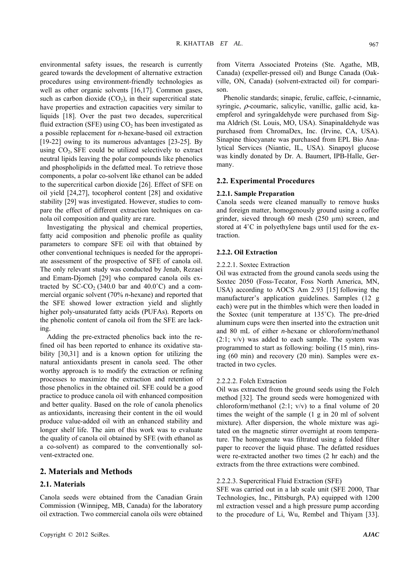environmental safety issues, the research is currently geared towards the development of alternative extraction procedures using environment-friendly technologies as well as other organic solvents [16,17]. Common gases, such as carbon dioxide  $(CO<sub>2</sub>)$ , in their supercritical state have properties and extraction capacities very similar to liquids [18]. Over the past two decades, supercritical fluid extraction (SFE) using  $CO<sub>2</sub>$  has been investigated as a possible replacement for *n*-hexane-based oil extraction [19-22] owing to its numerous advantages [23-25]. By using  $CO<sub>2</sub>$ , SFE could be utilized selectively to extract neutral lipids leaving the polar compounds like phenolics and phospholipids in the defatted meal. To retrieve those components, a polar co-solvent like ethanol can be added to the supercritical carbon dioxide [26]. Effect of SFE on oil yield [24,27], tocopherol content [28] and oxidative stability [29] was investigated. However, studies to compare the effect of different extraction techniques on canola oil composition and quality are rare.

Investigating the physical and chemical properties, fatty acid composition and phenolic profile as quality parameters to compare SFE oil with that obtained by other conventional techniques is needed for the appropriate assessment of the prospective of SFE of canola oil. The only relevant study was conducted by Jenab, Rezaei and Emam-Djomeh [29] who compared canola oils extracted by  $SC-CO<sub>2</sub>$  (340.0 bar and 40.0°C) and a commercial organic solvent (70% *n*-hexane) and reported that the SFE showed lower extraction yield and slightly higher poly-unsaturated fatty acids (PUFAs). Reports on the phenolic content of canola oil from the SFE are lacking.

Adding the pre-extracted phenolics back into the refined oil has been reported to enhance its oxidative stability [30,31] and is a known option for utilizing the natural antioxidants present in canola seed. The other worthy approach is to modify the extraction or refining processes to maximize the extraction and retention of those phenolics in the obtained oil. SFE could be a good practice to produce canola oil with enhanced composition and better quality. Based on the role of canola phenolics as antioxidants, increasing their content in the oil would produce value-added oil with an enhanced stability and longer shelf life. The aim of this work was to evaluate the quality of canola oil obtained by SFE (with ethanol as a co-solvent) as compared to the conventionally solvent-extracted one.

#### **2. Materials and Methods**

### **2.1. Materials**

Canola seeds were obtained from the Canadian Grain Commission (Winnipeg, MB, Canada) for the laboratory oil extraction. Two commercial canola oils were obtained from Viterra Associated Proteins (Ste. Agathe, MB, Canada) (expeller-pressed oil) and Bunge Canada (Oakville, ON, Canada) (solvent-extracted oil) for comparison.

Phenolic standards; sinapic, ferulic, caffeic, *t*-cinnamic, syringic, ρ-coumaric, salicylic, vanillic, gallic acid, kaempferol and syringaldehyde were purchased from Sigma Aldrich (St. Louis, MO, USA). Sinapinaldehyde was purchased from ChromaDex, Inc. (Irvine, CA, USA). Sinapine thiocyanate was purchased from EPL Bio Analytical Services (Niantic, IL, USA). Sinapoyl glucose was kindly donated by Dr. A. Baumert, IPB-Halle, Germany.

## **2.2. Experimental Procedures**

#### **2.2.1. Sample Preparation**

Canola seeds were cleaned manually to remove husks and foreign matter, homogenously ground using a coffee grinder, sieved through 60 mesh (250 µm) screen, and stored at 4˚C in polyethylene bags until used for the extraction.

# **2.2.2. Oil Extraction**

#### 2.2.2.1. Soxtec Extraction

Oil was extracted from the ground canola seeds using the Soxtec 2050 (Foss-Tecator, Foss North America, MN, USA) according to AOCS Am 2.93 [15] following the manufacturer's application guidelines. Samples (12 g each) were put in the thimbles which were then loaded in the Soxtec (unit temperature at 135˚C). The pre-dried aluminum cups were then inserted into the extraction unit and 80 mL of either *n*-hexane or chloroform/methanol  $(2:1; v/v)$  was added to each sample. The system was programmed to start as following: boiling (15 min), rinsing (60 min) and recovery (20 min). Samples were extracted in two cycles.

## 2.2.2.2. Folch Extraction

Oil was extracted from the ground seeds using the Folch method [32]. The ground seeds were homogenized with chloroform/methanol  $(2:1; v/v)$  to a final volume of 20 times the weight of the sample (1 g in 20 ml of solvent mixture). After dispersion, the whole mixture was agitated on the magnetic stirrer overnight at room temperature. The homogenate was filtrated using a folded filter paper to recover the liquid phase. The defatted residues were re-extracted another two times (2 hr each) and the extracts from the three extractions were combined.

## 2.2.2.3. Supercritical Fluid Extraction (SFE)

SFE was carried out in a lab scale unit (SFE 2000, Thar Technologies, Inc., Pittsburgh, PA) equipped with 1200 ml extraction vessel and a high pressure pump according to the procedure of Li, Wu, Rembel and Thiyam [33].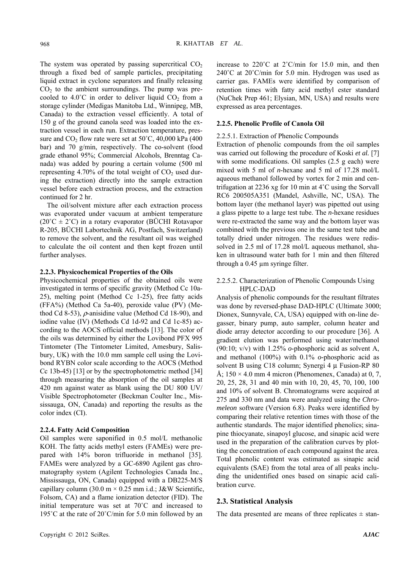The system was operated by passing supercritical  $CO<sub>2</sub>$ through a fixed bed of sample particles, precipitating liquid extract in cyclone separators and finally releasing  $CO<sub>2</sub>$  to the ambient surroundings. The pump was precooled to  $4.0^{\circ}$ C in order to deliver liquid  $CO<sub>2</sub>$  from a storage cylinder (Medigas Manitoba Ltd., Winnipeg, MB, Canada) to the extraction vessel efficiently. A total of 150 g of the ground canola seed was loaded into the extraction vessel in each run. Extraction temperature, pressure and  $CO<sub>2</sub>$  flow rate were set at  $50^{\circ}$ C, 40,000 kPa (400) bar) and 70 g/min, respectively. The co-solvent (food grade ethanol 95%; Commercial Alcohols, Brenntag Canada) was added by pouring a certain volume (500 ml representing 4.70% of the total weight of  $CO<sub>2</sub>$  used during the extraction) directly into the sample extraction vessel before each extraction process, and the extraction continued for 2 hr.

The oil/solvent mixture after each extraction process was evaporated under vacuum at ambient temperature  $(20^{\circ}C \pm 2^{\circ}C)$  in a rotary evaporator (BÜCHI Rotavapor R-205, BÜCHI Labortechnik AG, Postfach, Switzerland) to remove the solvent, and the resultant oil was weighed to calculate the oil content and then kept frozen until further analyses.

#### **2.2.3. Physicochemical Properties of the Oils**

Physicochemical properties of the obtained oils were investigated in terms of specific gravity (Method Cc 10a-25), melting point (Method Cc 1-25), free fatty acids (FFA%) (Method Ca 5a-40), peroxide value (PV) (Method Cd 8-53),  $\rho$ -anisidine value (Method Cd 18-90), and iodine value (IV) (Methods Cd 1d-92 and Cd 1c-85) according to the AOCS official methods [13]. The color of the oils was determined by either the Lovibond PFX 995 Tintometer (The Tintometer Limited, Amesbury, Salisbury, UK) with the 10.0 mm sample cell using the Lovibond RYBN color scale according to the AOCS (Method Cc 13b-45) [13] or by the spectrophotometric method [34] through measuring the absorption of the oil samples at 420 nm against water as blank using the DU 800 UV/ Visible Spectrophotometer (Beckman Coulter Inc., Mississauga, ON, Canada) and reporting the results as the color index (CI).

#### **2.2.4. Fatty Acid Composition**

Oil samples were saponified in 0.5 mol/L methanolic KOH. The fatty acids methyl esters (FAMEs) were prepared with 14% boron trifluoride in methanol [35]. FAMEs were analyzed by a GC-6890 Agilent gas chromatography system (Agilent Technologies Canada Inc., Mississauga, ON, Canada) equipped with a DB225-M/S capillary column (30.0 m  $\times$  0.25 mm i.d.; J&W Scientific, Folsom, CA) and a flame ionization detector (FID). The initial temperature was set at 70˚C and increased to 195˚C at the rate of 20˚C/min for 5.0 min followed by an

increase to 220˚C at 2˚C/min for 15.0 min, and then 240˚C at 20˚C/min for 5.0 min. Hydrogen was used as carrier gas. FAMEs were identified by comparison of retention times with fatty acid methyl ester standard (NuChek Prep 461; Elysian, MN, USA) and results were expressed as area percentages.

#### **2.2.5. Phenolic Profile of Canola Oil**

#### 2.2.5.1. Extraction of Phenolic Compounds

Extraction of phenolic compounds from the oil samples was carried out following the procedure of Koski *et al.* [7] with some modifications. Oil samples (2.5 g each) were mixed with 5 ml of *n*-hexane and 5 ml of 17.28 mol/L aqueous methanol followed by vortex for 2 min and centrifugation at 2236 xg for 10 min at 4˚C using the Sorvall RC6 200505A351 (Mandel, Ashville, NC, USA). The bottom layer (the methanol layer) was pipetted out using a glass pipette to a large test tube. The *n*-hexane residues were re-extracted the same way and the bottom layer was combined with the previous one in the same test tube and totally dried under nitrogen. The residues were redissolved in 2.5 ml of 17.28 mol/L aqueous methanol, shaken in ultrasound water bath for 1 min and then filtered through a 0.45 µm syringe filter.

# 2.2.5.2. Characterization of Phenolic Compounds Using HPLC-DAD

Analysis of phenolic compounds for the resultant filtrates was done by reversed-phase DAD-HPLC (Ultimate 3000; Dionex, Sunnyvale, CA, USA) equipped with on-line degasser, binary pump, auto sampler, column heater and diode array detector according to our procedure [36]. A gradient elution was performed using water/methanol (90:10; v/v) with 1.25% *o*-phosphoric acid as solvent A, and methanol (100%) with 0.1% *o-*phosphoric acid as solvent B using C18 column; Synergi 4 μ Fusion-RP 80 Å;  $150 \times 4.0$  mm 4 micron (Phenomenex, Canada) at 0, 7, 20, 25, 28, 31 and 40 min with 10, 20, 45, 70, 100, 100 and 10% of solvent B. Chromatograms were acquired at 275 and 330 nm and data were analyzed using the *Chromeleon* software (Version 6.8). Peaks were identified by comparing their relative retention times with those of the authentic standards. The major identified phenolics; sinapine thiocyanate, sinapoyl glucose, and sinapic acid were used in the preparation of the calibration curves by plotting the concentration of each compound against the area. Total phenolic content was estimated as sinapic acid equivalents (SAE) from the total area of all peaks including the unidentified ones based on sinapic acid calibration curve.

#### **2.3. Statistical Analysis**

The data presented are means of three replicates  $\pm$  stan-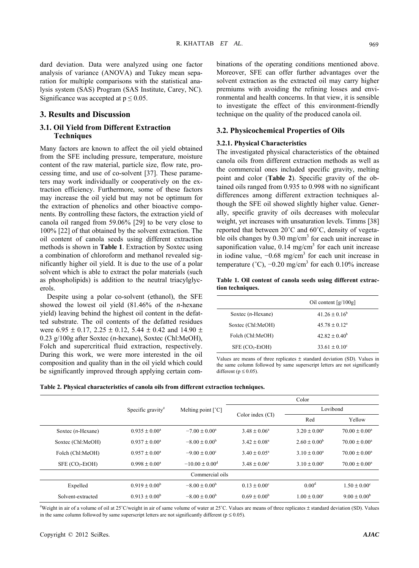dard deviation. Data were analyzed using one factor analysis of variance (ANOVA) and Tukey mean separation for multiple comparisons with the statistical analysis system (SAS) Program (SAS Institute, Carey, NC). Significance was accepted at  $p \le 0.05$ .

# **3. Results and Discussion**

# **3.1. Oil Yield from Different Extraction Techniques**

Many factors are known to affect the oil yield obtained from the SFE including pressure, temperature, moisture content of the raw material, particle size, flow rate, processing time, and use of co-solvent [37]. These parameters may work individually or cooperatively on the extraction efficiency. Furthermore, some of these factors may increase the oil yield but may not be optimum for the extraction of phenolics and other bioactive components. By controlling these factors, the extraction yield of canola oil ranged from 59.06% [29] to be very close to 100% [22] of that obtained by the solvent extraction. The oil content of canola seeds using different extraction methods is shown in **Table 1**. Extraction by Soxtec using a combination of chloroform and methanol revealed significantly higher oil yield. It is due to the use of a polar solvent which is able to extract the polar materials (such as phospholipids) is addition to the neutral triacylglycerols.

Despite using a polar co-solvent (ethanol), the SFE showed the lowest oil yield (81.46% of the *n*-hexane yield) leaving behind the highest oil content in the defatted substrate. The oil contents of the defatted residues were  $6.95 \pm 0.17$ ,  $2.25 \pm 0.12$ ,  $5.44 \pm 0.42$  and  $14.90 \pm 0.42$ 0.23 g/100g after Soxtec (*n*-hexane), Soxtec (Chl:MeOH), Folch and supercritical fluid extraction, respectively. During this work, we were more interested in the oil composition and quality than in the oil yield which could be significantly improved through applying certain combinations of the operating conditions mentioned above. Moreover, SFE can offer further advantages over the solvent extraction as the extracted oil may carry higher premiums with avoiding the refining losses and environmental and health concerns. In that view, it is sensible to investigate the effect of this environment-friendly technique on the quality of the produced canola oil.

# **3.2. Physicochemical Properties of Oils**

#### **3.2.1. Physical Characteristics**

The investigated physical characteristics of the obtained canola oils from different extraction methods as well as the commercial ones included specific gravity, melting point and color (**Table 2**). Specific gravity of the obtained oils ranged from 0.935 to 0.998 with no significant differences among different extraction techniques although the SFE oil showed slightly higher value. Generally, specific gravity of oils decreases with molecular weight, yet increases with unsaturation levels. Timms [38] reported that between 20˚C and 60˚C, density of vegetable oils changes by  $0.30 \text{ mg/cm}^3$  for each unit increase in saponification value,  $0.14 \text{ mg/cm}^3$  for each unit increase in iodine value,  $-0.68$  mg/cm<sup>3</sup> for each unit increase in temperature ( $^{\circ}$ C),  $-0.20$  mg/cm<sup>3</sup> for each 0.10% increase

**Table 1. Oil content of canola seeds using different extraction techniques.** 

|                      | Oil content $\lceil g/100g \rceil$ |  |  |  |
|----------------------|------------------------------------|--|--|--|
| Soxtec $(n$ -Hexane) | $41.26 \pm 0.16^b$                 |  |  |  |
| Soxtec (Chl:MeOH)    | $45.78 \pm 0.12^a$                 |  |  |  |
| Folch (Chl:MeOH)     | $42.82 \pm 0.40^b$                 |  |  |  |
| $SFE (CO2-EtOH)$     | $33.61 \pm 0.10^{\circ}$           |  |  |  |

Values are means of three replicates  $\pm$  standard deviation (SD). Values in the same column followed by same superscript letters are not significantly different ( $p \le 0.05$ ).

|  | Table 2. Physical characteristics of canola oils from different extraction techniques. |  |  |  |
|--|----------------------------------------------------------------------------------------|--|--|--|
|  |                                                                                        |  |  |  |

|                                         |                                                |                                | Color                   |                         |                         |  |
|-----------------------------------------|------------------------------------------------|--------------------------------|-------------------------|-------------------------|-------------------------|--|
|                                         | Specific gravity <sup>#</sup>                  | Melting point $[^{\circ}C]$    |                         | Lovibond                |                         |  |
|                                         |                                                |                                | Color index (CI)        | Red                     | Yellow                  |  |
| Soxtec $(n$ -Hexane)                    | $0.935 \pm 0.00^a$<br>$-7.00 \pm 0.00^{\circ}$ |                                | $3.48 \pm 0.06^a$       | $3.20 \pm 0.00^a$       | $70.00 \pm 0.00^4$      |  |
| Soxtec (Chl:MeOH)                       | $0.937 \pm 0.00^a$                             |                                | $3.42 \pm 0.08^a$       | $2.60 \pm 0.00^b$       | $70.00 \pm 0.00^4$      |  |
| $0.957 \pm 0.00^a$<br>Folch (Chl:MeOH)  |                                                | $-9.00 \pm 0.00^{\circ}$       | $3.40 \pm 0.05^{\circ}$ | $3.10 \pm 0.00^a$       | $70.00 \pm 0.00^a$      |  |
| $SFE (CO2-EtOH)$<br>$0.998 \pm 0.00^a$  |                                                | $-10.00 \pm 0.00$ <sup>d</sup> | $3.48 \pm 0.06^a$       | $3.10 \pm 0.00^a$       | $70.00 \pm 0.00^a$      |  |
| Commercial oils                         |                                                |                                |                         |                         |                         |  |
| Expelled<br>$0.919 \pm 0.00^b$          |                                                | $-8.00 \pm 0.00^{\circ}$       | $0.13 \pm 0.00^{\circ}$ | 0.00 <sup>d</sup>       | $1.50 \pm 0.00^{\circ}$ |  |
| $0.913 \pm 0.00^b$<br>Solvent-extracted |                                                | $-8.00 \pm 0.00^{\circ}$       | $0.69 \pm 0.00^{6}$     | $1.00 \pm 0.00^{\circ}$ | $9.00 \pm 0.00^{\rm b}$ |  |

# Weight in air of a volume of oil at 25˚C/weight in air of same volume of water at 25˚C. Values are means of three replicates ± standard deviation (SD). Values in the same column followed by same superscript letters are not significantly different ( $p \le 0.05$ ).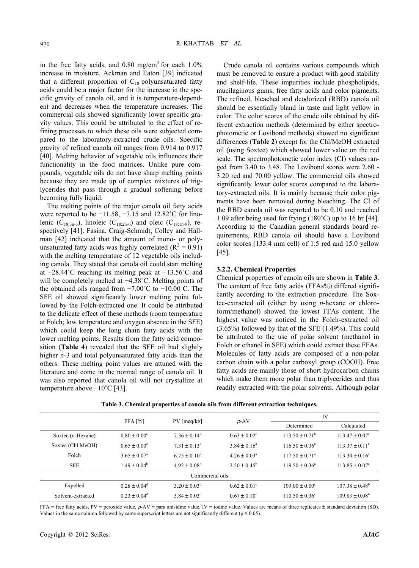in the free fatty acids, and  $0.80$  mg/cm<sup>3</sup> for each  $1.0\%$ increase in moisture. Ackman and Eaton [39] indicated that a different proportion of  $C_{18}$  polyunsaturated fatty acids could be a major factor for the increase in the specific gravity of canola oil, and it is temperature-dependent and decreases when the temperature increases. The commercial oils showed significantly lower specific gravity values. This could be attributed to the effect of refining processes to which these oils were subjected compared to the laboratory-extracted crude oils. Specific gravity of refined canola oil ranges from 0.914 to 0.917 [40]. Melting behavior of vegetable oils influences their functionality in the food matrices. Unlike pure compounds, vegetable oils do not have sharp melting points because they are made up of complex mixtures of triglycerides that pass through a gradual softening before becoming fully liquid.

The melting points of the major canola oil fatty acids were reported to be −11.58, −7.15 and 12.82˚C for linolenic (C<sub>18:3n-3</sub>), linoleic (C<sub>18:2n-6</sub>) and oleic (C<sub>18:1n-9</sub>), respectively [41]. Fasina, Craig-Schmidt, Colley and Hallman [42] indicated that the amount of mono- or polyunsaturated fatty acids was highly correlated  $(R^2 = 0.91)$ with the melting temperature of 12 vegetable oils including canola. They stated that canola oil could start melting at −28.44˚C reaching its melting peak at −13.56˚C and will be completely melted at −4.38˚C. Melting points of the obtained oils ranged from −7.00˚C to −10.00˚C. The SFE oil showed significantly lower melting point followed by the Folch-extracted one. It could be attributed to the delicate effect of these methods (room temperature at Folch; low temperature and oxygen absence in the SFE) which could keep the long chain fatty acids with the lower melting points. Results from the fatty acid composition (**Table 4**) revealed that the SFE oil had slightly higher *n*-3 and total polyunsaturated fatty acids than the others. These melting point values are attuned with the literature and come in the normal range of canola oil. It was also reported that canola oil will not crystallize at temperature above −10˚C [43].

Crude canola oil contains various compounds which must be removed to ensure a product with good stability and shelf-life. These impurities include phospholipids, mucilaginous gums, free fatty acids and color pigments. The refined, bleached and deodorized (RBD) canola oil should be essentially bland in taste and light yellow in color. The color scores of the crude oils obtained by different extraction methods (determined by either spectrophotometic or Lovibond methods) showed no significant differences (**Table 2**) except for the Chl/MeOH extracted oil (using Soxtec) which showed lower value on the red scale. The spectrophotometic color index (CI) values ranged from 3.40 to 3.48. The Lovibond scores were 2.60 - 3.20 red and 70.00 yellow. The commercial oils showed significantly lower color scores compared to the laboratory-extracted oils. It is mainly because their color pigments have been removed during bleaching. The CI of the RBD canola oil was reported to be 0.10 and reached 1.09 after being used for frying (180˚C) up to 16 hr [44]. According to the Canadian general standards board requirements, RBD canola oil should have a Lovibond color scores (133.4 mm cell) of 1.5 red and 15.0 yellow [45].

### **3.2.2. Chemical Properties**

Chemical properties of canola oils are shown in **Table 3**. The content of free fatty acids (FFAs%) differed significantly according to the extraction procedure. The Soxtec-extracted oil (either by using *n*-hexane or chloroform/methanol) showed the lowest FFAs content. The highest value was noticed in the Folch-extracted oil (3.65%) followed by that of the SFE (1.49%). This could be attributed to the use of polar solvent (methanol in Folch or ethanol in SFE) which could extract these FFAs. Molecules of fatty acids are composed of a non-polar carbon chain with a polar carboxyl group (COOH). Free fatty acids are mainly those of short hydrocarbon chains which make them more polar than triglycerides and thus readily extracted with the polar solvents. Although polar

|                      |                         |                         |                         | IV                        |                           |  |  |  |
|----------------------|-------------------------|-------------------------|-------------------------|---------------------------|---------------------------|--|--|--|
|                      | FFA [%]                 | $PV$ [meq/kg]           | $\rho$ -AV              | Determined                | Calculated                |  |  |  |
| Soxtec $(n$ -Hexane) | $0.80 \pm 0.00^{\circ}$ | $7.36 \pm 0.14^{\circ}$ | $0.63 \pm 0.02^{\circ}$ | $113.50 \pm 0.71^{\circ}$ | $113.47 \pm 0.07^{\circ}$ |  |  |  |
| Soxtec (Chl:MeOH)    | $0.65 \pm 0.00^{\circ}$ | $7.31 \pm 0.13^a$       | $3.84 \pm 0.16^a$       | $116.50 \pm 0.36^a$       | $113.37 \pm 0.11^a$       |  |  |  |
| Folch                | $3.65 \pm 0.07^{\circ}$ | $6.75 \pm 0.10^a$       | $4.26 \pm 0.03^a$       | $117.50 \pm 0.71^{\circ}$ | $113.30 \pm 0.16^a$       |  |  |  |
| <b>SFE</b>           | $1.49 \pm 0.04^b$       | $4.92 \pm 0.08^b$       | $2.50 \pm 0.45^{\rm b}$ | $119.50 \pm 0.36^{\circ}$ | $113.85 \pm 0.07^{\circ}$ |  |  |  |
| Commercial oils      |                         |                         |                         |                           |                           |  |  |  |
| Expelled             | $0.28 \pm 0.04^d$       | $3.20 \pm 0.03^{\circ}$ | $0.62 \pm 0.01^{\circ}$ | $109.00 \pm 0.00^{\circ}$ | $107.38 \pm 0.48^{\circ}$ |  |  |  |
| Solvent-extracted    | $0.23 \pm 0.04^d$       | $3.84 \pm 0.03^{\circ}$ | $0.67 \pm 0.10^{\circ}$ | $110.50 \pm 0.36^{\circ}$ | $109.83 \pm 0.08^{\rm b}$ |  |  |  |

**Table 3. Chemical properties of canola oils from different extraction techniques.** 

FFA = free fatty acids, PV = peroxide value, ρ-AV = para anisidine value, IV = iodine value. Values are means of three replicates ± standard deviation (SD). Values in the same column followed by same superscript letters are not significantly different ( $p \le 0.05$ ).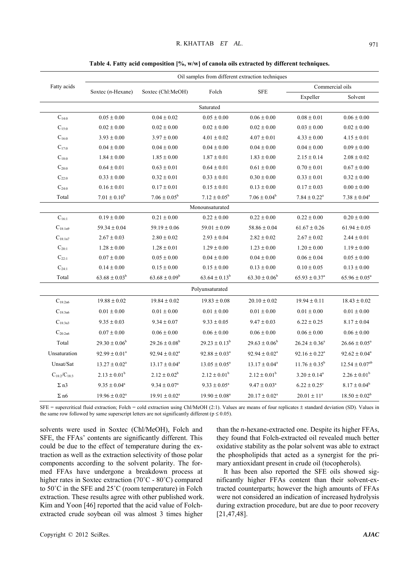|                     | Oil samples from different extraction techniques |                    |                             |                             |                               |                       |  |  |  |  |
|---------------------|--------------------------------------------------|--------------------|-----------------------------|-----------------------------|-------------------------------|-----------------------|--|--|--|--|
| Fatty acids         |                                                  |                    | Folch                       |                             | Commercial oils               |                       |  |  |  |  |
|                     | Soxtec $(n$ -Hexane)                             | Soxtec (Chl:MeOH)  |                             | <b>SFE</b>                  | Expeller                      | Solvent               |  |  |  |  |
|                     | Saturated                                        |                    |                             |                             |                               |                       |  |  |  |  |
| $C_{14:0}$          | $0.05 \pm 0.00$                                  | $0.04 \pm 0.02$    | $0.05 \pm 0.00$             | $0.06 \pm 0.00$             | $0.08 \pm 0.01$               | $0.06 \pm 0.00$       |  |  |  |  |
| $C_{15:0}$          | $0.02 \pm 0.00$                                  | $0.02 \pm 0.00$    | $0.02 \pm 0.00$             | $0.02 \pm 0.00$             | $0.03 \pm 0.00$               | $0.02 \pm 0.00$       |  |  |  |  |
| $C_{16:0}$          | $3.93 \pm 0.00$                                  | $3.97 \pm 0.00$    | $4.01 \pm 0.02$             | $4.07 \pm 0.01$             | $4.33 \pm 0.00$               | $4.15 \pm 0.01$       |  |  |  |  |
| $C_{17:0}$          | $0.04 \pm 0.00$                                  | $0.04 \pm 0.00$    | $0.04\pm0.00$               | $0.04 \pm 0.00$             | $0.04 \pm 0.00$               | $0.09 \pm 0.00$       |  |  |  |  |
| $C_{18:0}$          | $1.84 \pm 0.00$                                  | $1.85 \pm 0.00$    | $1.87 \pm 0.01$             | $1.83 \pm 0.00$             | $2.15 \pm 0.14$               | $2.08 \pm 0.02$       |  |  |  |  |
| $\mathbf{C}_{20:0}$ | $0.64\pm0.01$                                    | $0.63 \pm 0.01$    | $0.64 \pm 0.01$             | $0.61\pm0.00$               | $0.70\pm0.01$                 | $0.67\pm0.00$         |  |  |  |  |
| $C_{22:0}$          | $0.33\pm0.00$                                    | $0.32 \pm 0.01$    | $0.33 \pm 0.01$             | $0.30\pm0.00$               | $0.33 \pm 0.01$               | $0.32\pm0.00$         |  |  |  |  |
| $\mathrm{C}_{24:0}$ | $0.16\pm0.01$                                    | $0.17 \pm 0.01$    | $0.15 \pm 0.01$             | $0.13 \pm 0.00$             | $0.17 \pm 0.03$               | $0.00\pm0.00$         |  |  |  |  |
| Total               | $7.01\pm0.10^{\rm b}$                            | $7.06 \pm 0.05^b$  | $7.12 \pm 0.05^b$           | $7.06 \pm 0.04^b$           | $7.84 \pm 0.22^a$             | $7.38 \pm 0.04^a$     |  |  |  |  |
|                     |                                                  |                    | Monounsaturated             |                             |                               |                       |  |  |  |  |
| $C_{16:1}$          | $0.19 \pm 0.00$                                  | $0.21 \pm 0.00$    | $0.22 \pm 0.00$             | $0.22 \pm 0.00$             | $0.22 \pm 0.00$               | $0.20\pm0.00$         |  |  |  |  |
| $C_{18:1n9}$        | $59.34 \pm 0.04$                                 | $59.19 \pm 0.06$   | $59.01 \pm 0.09$            | $58.86 \pm 0.04$            | $61.67 \pm 0.26$              | $61.94 \pm 0.05$      |  |  |  |  |
| $C_{18:1n7}$        | $2.67 \pm 0.03$                                  | $2.80\pm0.02$      | $2.93 \pm 0.04$             | $2.82 \pm 0.02$             | $2.67 \pm 0.02$               | $2.44 \pm 0.01$       |  |  |  |  |
| $\mathrm{C}_{20:1}$ | $1.28 \pm 0.00$                                  | $1.28 \pm 0.01$    | $1.29 \pm 0.00$             | $1.23\pm0.00$               | $1.20 \pm 0.00$               | $1.19 \pm 0.00$       |  |  |  |  |
| $C_{22:1}$          | $0.07 \pm 0.00$                                  | $0.05\pm0.00$      | $0.04 \pm 0.00$             | $0.04\pm0.00$               | $0.06 \pm 0.04$               | $0.05\pm0.00$         |  |  |  |  |
| $\mathrm{C}_{24:1}$ | $0.14 \pm 0.00$                                  | $0.15\pm0.00$      | $0.15 \pm 0.00$             | $0.13 \pm 0.00$             | $0.10 \pm 0.05$               | $0.13 \pm 0.00$       |  |  |  |  |
| Total               | $63.68 \pm 0.03^b$                               | $63.68 \pm 0.09^b$ | $63.64 \pm 0.13^b$          | $63.30 \pm 0.06^b$          | $65.93 \pm 0.37^a$            | $65.96 \pm 0.05^a$    |  |  |  |  |
| Polyunsaturated     |                                                  |                    |                             |                             |                               |                       |  |  |  |  |
| $C_{18:2n6}$        | $19.88\pm0.02$                                   | $19.84 \pm 0.02$   | $19.83 \pm 0.08$            | $20.10 \pm 0.02$            | $19.94 \pm 0.11$              | $18.43 \pm 0.02$      |  |  |  |  |
| $C_{18:3n6}$        | $0.01 \pm 0.00$                                  | $0.01 \pm 0.00$    | $0.01 \pm 0.00$             | $0.01 \pm 0.00$             | $0.01 \pm 0.00$               | $0.01 \pm 0.00$       |  |  |  |  |
| $C_{18:3n3}$        | $9.35 \pm 0.03$                                  | $9.34 \pm 0.07$    | $9.33 \pm 0.05$             | $9.47 \pm 0.03$             | $6.22 \pm 0.25$               | $8.17 \pm 0.04$       |  |  |  |  |
| $C_{\rm 20:2n6}$    | $0.07 \pm 0.00$                                  | $0.06 \pm 0.00$    | $0.06 \pm 0.00$             | $0.06 \pm 0.00$             | $0.06 \pm 0.00$               | $0.06 \pm 0.00$       |  |  |  |  |
| Total               | $29.30 \pm 0.06^b$                               | $29.26 \pm 0.08^b$ | $29.23\pm0.13^{\mathrm{b}}$ | $29.63\pm0.06^{\mathrm{b}}$ | $26.24 \pm 0.36^a$            | $26.66 \pm 0.05^a$    |  |  |  |  |
| Unsaturation        | $92.99 \pm 0.01^a$                               | $92.94 \pm 0.02^a$ | $92.88 \pm 0.03^a$          | $92.94 \pm 0.02^a$          | $92.16 \pm 0.22$ <sup>a</sup> | $92.62 \pm 0.04^a$    |  |  |  |  |
| Unsat/Sat           | $13.27 \pm 0.02^a$                               | $13.17 \pm 0.04^a$ | $13.05 \pm 0.05^a$          | $13.17 \pm 0.04^a$          | $11.76 \pm 0.35^b$            | $12.54 \pm 0.07^{ab}$ |  |  |  |  |
| $C_{18:2}/C_{18:3}$ | $2.13 \pm 0.01^b$                                | $2.12 \pm 0.02^b$  | $2.12 \pm 0.01^b$           | $2.12 \pm 0.01^b$           | $3.20 \pm 0.14^a$             | $2.26 \pm 0.01^b$     |  |  |  |  |
| $\Sigma$ n3         | $9.35 \pm 0.04^a$                                | $9.34 \pm 0.07^a$  | $9.33 \pm 0.05^a$           | $9.47 \pm 0.03^a$           | $6.22 \pm 0.25^{\circ}$       | $8.17 \pm 0.04^b$     |  |  |  |  |
| $\Sigma$ n6         | $19.96 \pm 0.02^a$                               | $19.91 \pm 0.02^a$ | $19.90 \pm 0.08^a$          | $20.17 \pm 0.02^a$          | $20.01 \pm 11^a$              | $18.50 \pm 0.02^b$    |  |  |  |  |

Table 4. Fatty acid composition [%, w/w] of canola oils extracted by different techniques.

 $SFE$  = supercritical fluid extraction; Folch = cold extraction using Chl/MeOH (2:1). Values are means of four replicates  $\pm$  standard deviation (SD). Values in the same row followed by same superscript letters are not significantly different ( $p \le 0.05$ ).

solvents were used in Soxtec (Chl/MeOH), Folch and SFE, the FFAs' contents are significantly different. This could be due to the effect of temperature during the extraction as well as the extraction selectivity of those polar components according to the solvent polarity. The formed FFAs have undergone a breakdown process at higher rates in Soxtec extraction (70˚C - 80˚C) compared to 50˚C in the SFE and 25˚C (room temperature) in Folch extraction. These results agree with other published work. Kim and Yoon [46] reported that the acid value of Folchextracted crude soybean oil was almost 3 times higher

than the *n*-hexane-extracted one. Despite its higher FFAs, they found that Folch-extracted oil revealed much better oxidative stability as the polar solvent was able to extract the phospholipids that acted as a synergist for the primary antioxidant present in crude oil (tocopherols).

It has been also reported the SFE oils showed significantly higher FFAs content than their solvent-extracted counterparts; however the high amounts of FFAs were not considered an indication of increased hydrolysis during extraction procedure, but are due to poor recovery [21,47,48].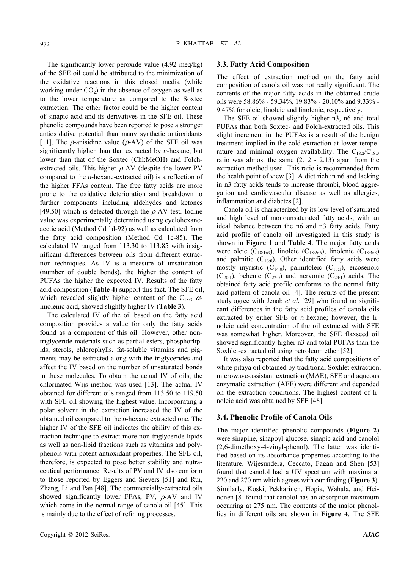The significantly lower peroxide value (4.92 meq/kg) of the SFE oil could be attributed to the minimization of the oxidative reactions in this closed media (while working under  $CO<sub>2</sub>$ ) in the absence of oxygen as well as to the lower temperature as compared to the Soxtec extraction. The other factor could be the higher content of sinapic acid and its derivatives in the SFE oil. These phenolic compounds have been reported to pose a stronger antioxidative potential than many synthetic antioxidants [11]. The  $\rho$ -anisidine value ( $\rho$ -AV) of the SFE oil was significantly higher than that extracted by *n*-hexane, but lower than that of the Soxtec (Chl:MeOH) and Folchextracted oils. This higher  $\rho$ -AV (despite the lower PV compared to the *n*-hexane-extracted oil) is a reflection of the higher FFAs content. The free fatty acids are more prone to the oxidative deterioration and breakdown to further components including aldehydes and ketones [49,50] which is detected through the  $\rho$ -AV test. Iodine value was experimentally determined using cyclohexaneacetic acid (Method Cd 1d-92) as well as calculated from the fatty acid composition (Method Cd 1c-85). The calculated IV ranged from 113.30 to 113.85 with insignificant differences between oils from different extraction techniques. As IV is a measure of unsaturation (number of double bonds), the higher the content of PUFAs the higher the expected IV. Results of the fatty acid composition (**Table 4**) support this fact. The SFE oil, which revealed slightly higher content of the C<sub>18:3</sub>  $\alpha$ linolenic acid, showed slightly higher IV (**Table 3**).

The calculated IV of the oil based on the fatty acid composition provides a value for only the fatty acids found as a component of this oil. However, other nontriglyceride materials such as partial esters, phosphorlipids, sterols, chlorophylls, fat-soluble vitamins and pigments may be extracted along with the triglycerides and affect the IV based on the number of unsaturated bonds in these molecules. To obtain the actual IV of oils, the chlorinated Wijs method was used [13]. The actual IV obtained for different oils ranged from 113.50 to 119.50 with SFE oil showing the highest value. Incorporating a polar solvent in the extraction increased the IV of the obtained oil compared to the *n*-hexane extracted one. The higher IV of the SFE oil indicates the ability of this extraction technique to extract more non-triglyceride lipids as well as non-lipid fractions such as vitamins and polyphenols with potent antioxidant properties. The SFE oil, therefore, is expected to pose better stability and nutraceutical performance. Results of PV and IV also conform to those reported by Eggers and Sievers [51] and Rui, Zhang, Li and Pan [48]. The commercially-extracted oils showed significantly lower FFAs, PV,  $\rho$ -AV and IV which come in the normal range of canola oil [45]. This is mainly due to the effect of refining processes.

#### **3.3. Fatty Acid Composition**

The effect of extraction method on the fatty acid composition of canola oil was not really significant. The contents of the major fatty acids in the obtained crude oils were 58.86% - 59.34%, 19.83% - 20.10% and 9.33% - 9.47% for oleic, linoleic and linolenic, respectively.

The SFE oil showed slightly higher n3, n6 and total PUFAs than both Soxtec- and Folch-extracted oils. This slight increment in the PUFAs is a result of the benign treatment implied in the cold extraction at lower temperature and minimal oxygen availability. The  $C_{18:2}/C_{18:3}$ ratio was almost the same (2.12 - 2.13) apart from the extraction method used. This ratio is recommended from the health point of view [3]. A diet rich in n6 and lacking in n3 fatty acids tends to increase thrombi, blood aggregation and cardiovascular disease as well as allergies, inflammation and diabetes [2].

Canola oil is characterized by its low level of saturated and high level of monounsaturated fatty acids, with an ideal balance between the n6 and n3 fatty acids. Fatty acid profile of canola oil investigated in this study is shown in **Figure 1** and **Table 4**. The major fatty acids were oleic  $(C_{18:1n9})$ , linoleic  $(C_{18:2n6})$ , linolenic  $(C_{18:3n3})$ and palmitic  $(C_{16:0})$ . Other identified fatty acids were mostly myristic  $(C_{14:0})$ , palmitoleic  $(C_{16:1})$ , eicosenoic  $(C_{20.1})$ , behenic  $(C_{22.0})$  and nervonic  $(C_{24.1})$  acids. The obtained fatty acid profile conforms to the normal fatty acid pattern of canola oil [4]. The results of the present study agree with Jenab *et al.* [29] who found no significant differences in the fatty acid profiles of canola oils extracted by either SFE or *n*-hexane; however, the linoleic acid concentration of the oil extracted with SFE was somewhat higher. Moreover, the SFE flaxseed oil showed significantly higher n3 and total PUFAs than the Soxhlet-extracted oil using petroleum ether [52].

It was also reported that the fatty acid compositions of white pitaya oil obtained by traditional Soxhlet extraction, microwave-assistant extraction (MAE), SFE and aqueous enzymatic extraction (AEE) were different and depended on the extraction conditions. The highest content of linoleic acid was obtained by SFE [48].

# **3.4. Phenolic Profile of Canola Oils**

The major identified phenolic compounds (**Figure 2**) were sinapine, sinapoyl glucose, sinapic acid and canolol (2,6-dimethoxy-4-vinyl-phenol). The latter was identified based on its absorbance properties according to the literature. Wijesundera, Ceccato, Fagan and Shen [53] found that canolol had a UV spectrum with maxima at 220 and 270 nm which agrees with our finding (**Figure 3**). Similarly, Koski, Pekkarinen, Hopia, Wahala, and Heinonen [8] found that canolol has an absorption maximum occurring at 275 nm. The contents of the major phenollics in different oils are shown in **Figure 4**. The SFE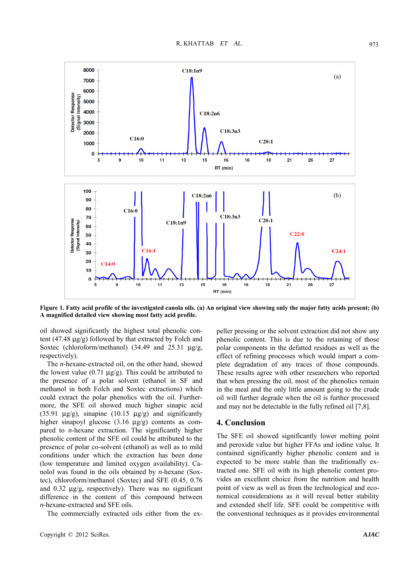

**Figure 1. Fatty acid profile of the investigated canola oils. (a) An original view showing only the major fatty acids present; (b) A magnified detailed view showing most fatty acid profile.** 

oil showed significantly the highest total phenolic content (47.48 μg/g) followed by that extracted by Folch and Soxtec (chloroform/methanol) (34.49 and 25.31 μg/g, respectively).

The *n*-hexane-extracted oil, on the other hand, showed the lowest value  $(0.71 \text{ µg/g})$ . This could be attributed to the presence of a polar solvent (ethanol in SF and methanol in both Folch and Soxtec extractions) which could extract the polar phenolics with the oil. Furthermore, the SFE oil showed much higher sinapic acid (35.91  $\mu$ g/g), sinapine (10.15  $\mu$ g/g) and significantly higher sinapoyl glucose (3.16 μg/g) contents as compared to *n*-hexane extraction. The significantly higher phenolic content of the SFE oil could be attributed to the presence of polar co-solvent (ethanol) as well as to mild conditions under which the extraction has been done (low temperature and limited oxygen availability). Canolol was found in the oils obtained by *n*-hexane (Soxtec), chloroform/methanol (Soxtec) and SFE (0.45, 0.76 and 0.32 μg/g, respectively). There was no significant difference in the content of this compound between *n*-hexane-extracted and SFE oils.

The commercially extracted oils either from the ex-

peller pressing or the solvent extraction did not show any phenolic content. This is due to the retaining of those polar components in the defatted residues as well as the effect of refining processes which would impart a complete degradation of any traces of those compounds. These results agree with other researchers who reported that when pressing the oil, most of the phenolics remain in the meal and the only little amount going to the crude oil will further degrade when the oil is further processed and may not be detectable in the fully refined oil [7,8].

# **4. Conclusion**

The SFE oil showed significantly lower melting point and peroxide value but higher FFAs and iodine value. It contained significantly higher phenolic content and is expected to be more stable than the traditionally extracted one. SFE oil with its high phenolic content provides an excellent choice from the nutrition and health point of view as well as from the technological and economical considerations as it will reveal better stability and extended shelf life. SFE could be competitive with the conventional techniques as it provides environmental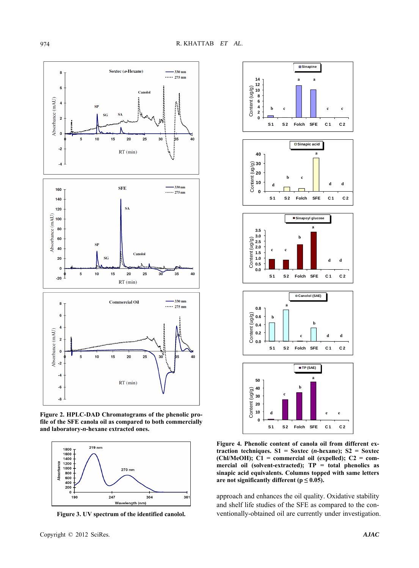

**Figure 2. HPLC-DAD Chromatograms of the phenolic profile of the SFE canola oil as compared to both commercially and laboratory-***n***-hexane extracted ones.** 



**Figure 3. UV spectrum of the identified canolol.** 



**Figure 4. Phenolic content of canola oil from different extraction techniques. S1 = Soxtec (***n***-hexane); S2 = Soxtec (Chl/MeOH); C1 = commercial oil (expelled); C2 = commercial oil (solvent-extracted); TP = total phenolics as sinapic acid equivalents. Columns topped with same letters**  are not significantly different ( $p \leq 0.05$ ).

approach and enhances the oil quality. Oxidative stability and shelf life studies of the SFE as compared to the conventionally-obtained oil are currently under investigation.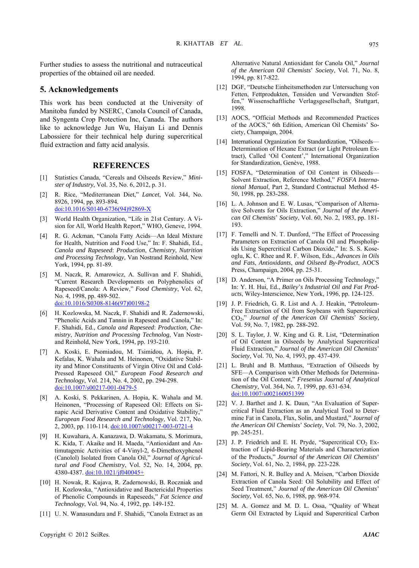Further studies to assess the nutritional and nutraceutical properties of the obtained oil are needed.

# **5. Acknowledgements**

This work has been conducted at the University of Manitoba funded by NSERC, Canola Council of Canada, and Syngenta Crop Protection Inc, Canada. The authors like to acknowledge Jun Wu, Haiyan Li and Dennis Labossiere for their technical help during supercritical fluid extraction and fatty acid analysis.

# **REFERENCES**

- [1] Statistics Canada, "Cereals and Oilseeds Review," *Minister of Industry*, Vol. 35, No. 6, 2012, p. 31.
- [2] R. Rice, "Mediterranean Diet," *Lancet*, Vol. 344, No. 8926, 1994, pp. 893-894. doi:10.1016/S0140-6736(94)92869-X
- [3] World Health Organization, "Life in 21st Century. A Vision for All, World Health Report," WHO, Geneve, 1994.
- [4] R. G. Ackman, "Canola Fatty Acids—An Ideal Mixture for Health, Nutrition and Food Use," In: F. Shahidi, Ed., *Canola and Rapeseed*: *Production*, *Chemistry*, *Nutrition and Processing Technology*, Van Nostrand Reinhold, New York, 1994, pp. 81-89.
- [5] M. Naczk, R. Amarowicz, A. Sullivan and F. Shahidi, "Current Research Developments on Polyphenolics of Rapeseed/Canola: A Review," *Food Chemistry*, Vol. 62, No. 4, 1998, pp. 489-502. doi:10.1016/S0308-8146(97)00198-2
- [6] H. Kozlowska, M. Naczk, F. Shahidi and R. Zadernowski, "Phenolic Acids and Tannin in Rapeseed and Canola," In: F. Shahidi, Ed., *Canola and Rapeseed*: *Production*, *Chemistry*, *Nutrition and Processing Technolog*, Van Nostrand Reinhold, New York, 1994, pp. 193-210.
- [7] A. Koski, E. Psomiadou, M. Tsimidou, A. Hopia, P. Kefalas, K. Wahala and M. Heinonen, "Oxidative Stability and Minor Constituents of Virgin Olive Oil and Cold-Pressed Rapeseed Oil," *European Food Research and Technology*, Vol. 214, No. 4, 2002, pp. 294-298. doi:10.1007/s00217-001-0479-5
- [8] A. Koski, S. Pekkarinen, A. Hopia, K. Wahala and M. Heinonen, "Processing of Rapeseed Oil: Effects on Sinapic Acid Derivative Content and Oxidative Stability," *European Food Research and Technology*, Vol. 217, No. 2, 2003, pp. 110-114. doi:10.1007/s00217-003-0721-4
- [9] H. Kuwahara, A. Kanazawa, D. Wakamatu, S. Morimura, K. Kida, T. Akaike and H. Maeda, "Antioxidant and Antimutagenic Activities of 4-Vinyl-2, 6-Dimethoxyphenol (Canolol) Isolated from Canola Oil," *Journal of Agricultural and Food Chemistry*, Vol. 52, No. 14, 2004, pp. 4380-4387. doi:10.1021/jf040045+
- [10] H. Nowak, R. Kujava, R. Zadernowski, B. Roczniak and H. Kozlowska, "Antioxidative and Bactericidal Properties of Phenolic Compounds in Rapeseeds," *Fat Science and Technology*, Vol. 94, No. 4, 1992, pp. 149-152.
- [11] U. N. Wanasundara and F. Shahidi, "Canola Extract as an

Alternative Natural Antioxidant for Canola Oil," *Journal of the American Oil Chemists*' *Society*, Vol. 71, No. 8, 1994, pp. 817-822.

- [12] DGF, "Deutsche Einheitsmethoden zur Untersuchung von Fetten, Fettprodukten, Tensiden und Verwandten Stoffen," Wissenschaftliche Verlagsgesellschaft, Stuttgart, 1998.
- [13] AOCS, "Official Methods and Recommended Practices of the AOCS," 6th Edition, American Oil Chemists' Society, Champaign, 2004.
- [14] International Organization for Standardization, "Oilseeds— Determination of Hexane Extract (or Light Petroleum Extract), Called 'Oil Content'," International Organization for Standardization, Genève, 1988.
- [15] FOSFA, "Determination of Oil Content in Oilseeds-Solvent Extraction, Reference Method," *FOSFA International Manual*, Part 2, Standard Contractual Method 45- 50, 1998, pp. 283-288.
- [16] L. A. Johnson and E. W. Lusas, "Comparison of Alternative Solvents for Oils Extraction," *Journal of the American Oil Chemists*' *Society*, Vol. 60, No. 2, 1983, pp. 181- 193.
- [17] F. Temelli and N. T. Dunford, "The Effect of Processing Parameters on Extraction of Canola Oil and Phospholipids Using Supercritical Carbon Dioxide," In: S. S. Koseoglu, K. C. Rhee and R. F. Wilson, Eds., *Advances in Oils and Fats*, *Antioxidants*, *and Oilseed By-Product*, AOCS Press, Champaign, 2004, pp. 25-31.
- [18] D. Anderson, "A Primer on Oils Processing Technology," In: Y. H. Hui, Ed., *Bailey*'*s Industrial Oil and Fat Products*, Wiley-Interscience, New York, 1996, pp. 124-125.
- [19] J. P. Friedrich, G. R. List and A. J. Heakin, "Petroleum-Free Extraction of Oil from Soybeans with Supercritical CO2," *Journal of the American Oil Chemists*' *Society*, Vol. 59, No. 7, 1982, pp. 288-292.
- [20] S. L. Taylor, J. W. King and G. R. List, "Determination of Oil Content in Oilseeds by Analytical Supercritical Fluid Extraction," *Journal of the American Oil Chemists*' *Society*, Vol. 70, No. 4, 1993, pp. 437-439.
- [21] L. Bruhl and B. Matthaus, "Extraction of Oilseeds by SFE—A Comparison with Other Methods for Determination of the Oil Content," *Fresenius Journal of Analytical Chemistry*, Vol. 364, No. 7, 1999, pp. 631-634. doi:10.1007/s002160051399
- [22] V. J. Barthet and J. K. Daun, "An Evaluation of Supercritical Fluid Extraction as an Analytical Tool to Determine Fat in Canola, Flax, Solin, and Mustard," *Journal of the American Oil Chemists*' *Society*, Vol. 79, No. 3, 2002, pp. 245-251.
- [23] J. P. Friedrich and E. H. Pryde, "Supercritical  $CO<sub>2</sub>$  Extraction of Lipid-Bearing Materials and Characterization of the Products," *Journal of the American Oil Chemists*' *Society*, Vol. 61, No. 2, 1984, pp. 223-228.
- [24] M. Fattori, N. R. Bulley and A. Meisen, "Carbon Dioxide Extraction of Canola Seed: Oil Solubility and Effect of Seed Treatment," *Journal of the American Oil Chemists*' *Society*, Vol. 65, No. 6, 1988, pp. 968-974.
- [25] M. A. Gomez and M. D. L. Ossa, "Quality of Wheat Germ Oil Extracted by Liquid and Supercritical Carbon